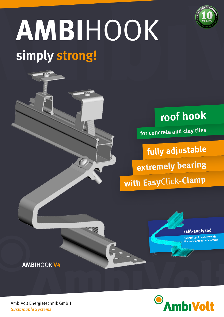

# **simply strong! AMBI**HOOK



## **roof hook**

**for concrete and clay tiles**

**with Easy**Click**-Clamp extremely bearing fully adjustable**



**optimal load capacity with the least amount of material**

**AMBI**HOOK **V4**



AmbiVolt Energietechnik GmbH *Sustainable Systems*